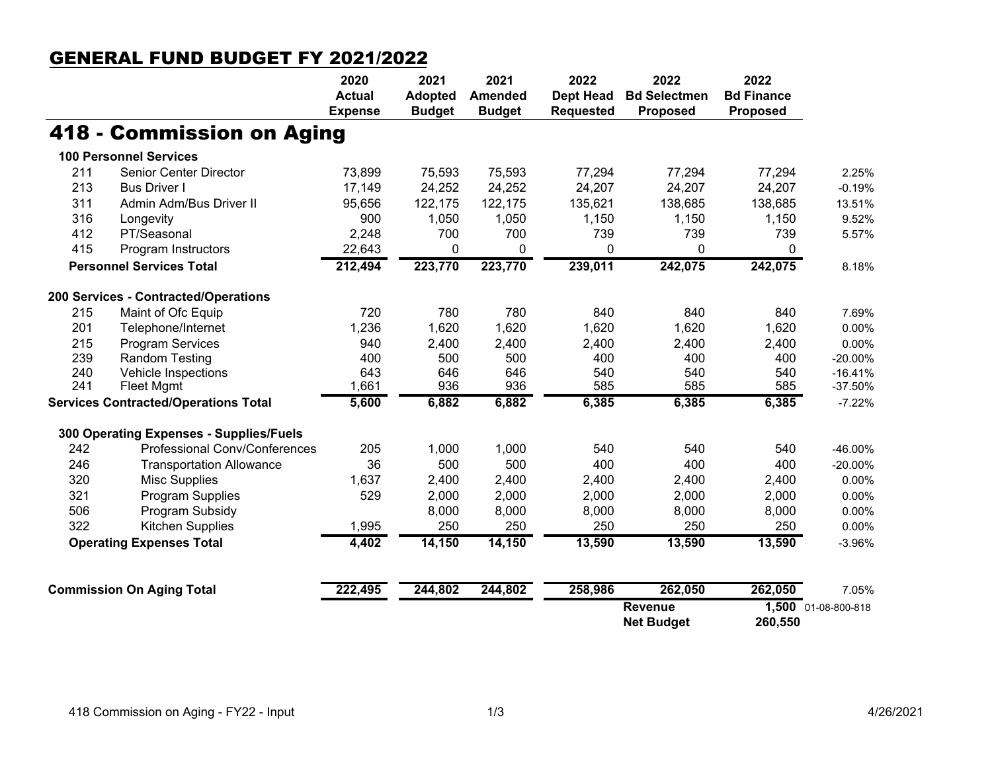## GENERAL FUND BUDGET FY 2021/2022

|                                             |                                         | 2020           | 2021                            | 2021                            | 2022                                 | 2022                                   | 2022                                 |                     |
|---------------------------------------------|-----------------------------------------|----------------|---------------------------------|---------------------------------|--------------------------------------|----------------------------------------|--------------------------------------|---------------------|
|                                             |                                         | <b>Actual</b>  | <b>Adopted</b><br><b>Budget</b> | <b>Amended</b><br><b>Budget</b> | <b>Dept Head</b><br><b>Requested</b> | <b>Bd Selectmen</b><br><b>Proposed</b> | <b>Bd Finance</b><br><b>Proposed</b> |                     |
|                                             |                                         | <b>Expense</b> |                                 |                                 |                                      |                                        |                                      |                     |
|                                             | 418 - Commission on Aging               |                |                                 |                                 |                                      |                                        |                                      |                     |
|                                             | <b>100 Personnel Services</b>           |                |                                 |                                 |                                      |                                        |                                      |                     |
| 211                                         | <b>Senior Center Director</b>           | 73,899         | 75,593                          | 75,593                          | 77,294                               | 77,294                                 | 77,294                               | 2.25%               |
| 213                                         | <b>Bus Driver I</b>                     | 17,149         | 24,252                          | 24,252                          | 24,207                               | 24,207                                 | 24,207                               | $-0.19%$            |
| 311                                         | Admin Adm/Bus Driver II                 | 95,656         | 122,175                         | 122,175                         | 135,621                              | 138,685                                | 138,685                              | 13.51%              |
| 316                                         | Longevity                               | 900            | 1,050                           | 1,050                           | 1,150                                | 1,150                                  | 1,150                                | 9.52%               |
| 412                                         | PT/Seasonal                             | 2,248          | 700                             | 700                             | 739                                  | 739                                    | 739                                  | 5.57%               |
| 415                                         | Program Instructors                     | 22,643         | 0                               | 0                               | 0                                    | 0                                      | 0                                    |                     |
|                                             | <b>Personnel Services Total</b>         |                | 223,770                         | 223,770                         | 239,011                              | 242,075                                | 242,075                              | 8.18%               |
|                                             | 200 Services - Contracted/Operations    |                |                                 |                                 |                                      |                                        |                                      |                     |
| 215                                         | Maint of Ofc Equip                      | 720            | 780                             | 780                             | 840                                  | 840                                    | 840                                  | 7.69%               |
| 201                                         | Telephone/Internet                      | 1,236          | 1,620                           | 1,620                           | 1,620                                | 1,620                                  | 1,620                                | 0.00%               |
| 215                                         | <b>Program Services</b>                 | 940            | 2,400                           | 2,400                           | 2,400                                | 2,400                                  | 2,400                                | 0.00%               |
| 239                                         | <b>Random Testing</b>                   | 400            | 500                             | 500                             | 400                                  | 400                                    | 400                                  | $-20.00\%$          |
| 240                                         | Vehicle Inspections                     | 643            | 646                             | 646                             | 540                                  | 540                                    | 540                                  | $-16.41%$           |
| 241                                         | Fleet Mgmt                              | 1,661          | 936                             | 936                             | 585                                  | 585                                    | 585                                  | $-37.50%$           |
| <b>Services Contracted/Operations Total</b> |                                         | 5,600          | 6,882                           | 6,882                           | 6,385                                | 6,385                                  | 6,385                                | $-7.22%$            |
|                                             | 300 Operating Expenses - Supplies/Fuels |                |                                 |                                 |                                      |                                        |                                      |                     |
| 242                                         | Professional Conv/Conferences           | 205            | 1,000                           | 1,000                           | 540                                  | 540                                    | 540                                  | -46.00%             |
| 246                                         | <b>Transportation Allowance</b>         | 36             | 500                             | 500                             | 400                                  | 400                                    | 400                                  | $-20.00\%$          |
| 320                                         | <b>Misc Supplies</b>                    | 1,637          | 2,400                           | 2,400                           | 2,400                                | 2,400                                  | 2,400                                | 0.00%               |
| 321                                         | Program Supplies                        | 529            | 2,000                           | 2,000                           | 2,000                                | 2,000                                  | 2,000                                | 0.00%               |
| 506                                         | Program Subsidy                         |                | 8,000                           | 8,000                           | 8,000                                | 8,000                                  | 8,000                                | 0.00%               |
| 322                                         | Kitchen Supplies                        | 1,995          | 250                             | 250                             | 250                                  | 250                                    | 250                                  | 0.00%               |
|                                             | <b>Operating Expenses Total</b>         | 4,402          | 14,150                          | 14,150                          | 13,590                               | 13,590                                 | 13,590                               | $-3.96%$            |
|                                             | <b>Commission On Aging Total</b>        | 222,495        | 244,802                         | 244,802                         | 258,986                              | 262,050                                | 262,050                              | 7.05%               |
|                                             |                                         |                |                                 |                                 |                                      | <b>Revenue</b>                         |                                      | 1,500 01-08-800-818 |
|                                             |                                         |                |                                 |                                 |                                      | <b>Net Budget</b>                      | 260,550                              |                     |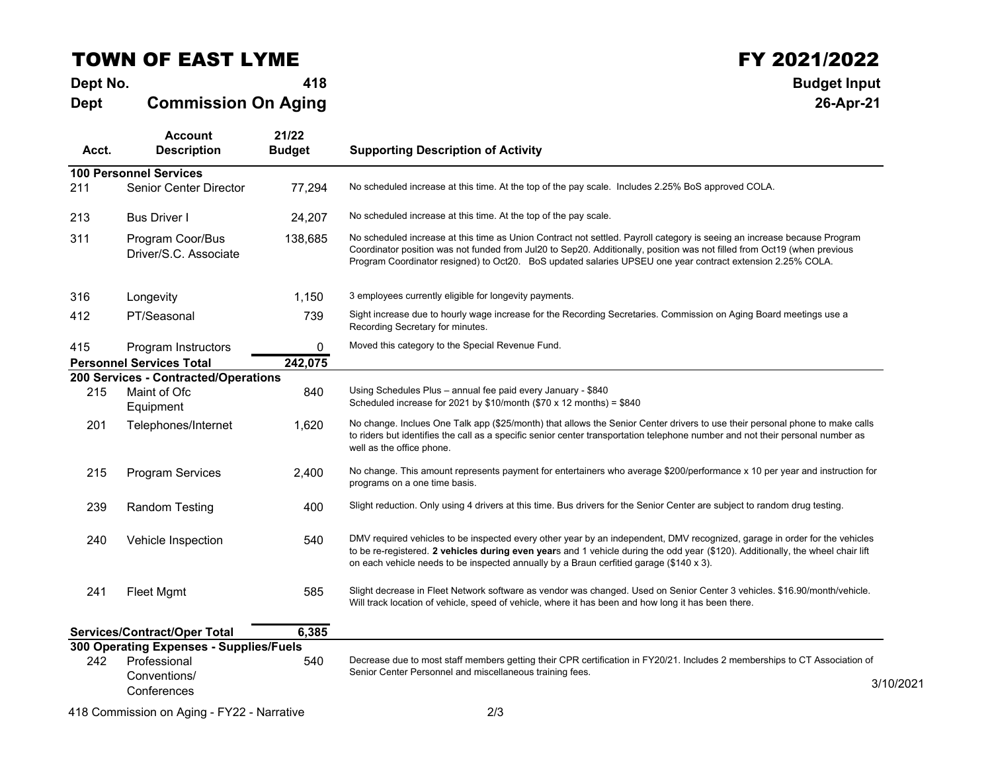## TOWN OF EAST LYME

**Dept No. <sup>418</sup> Budget Input DeptCommission On Aging**

## $\begin{array}{ccc}\n & & \textbf{FY } 2021/2022 \\
\hline\n\end{array}$ <br>418

**26-Apr-21**

| Acct.                         | <b>Account</b><br><b>Description</b>        | 21/22<br><b>Budget</b> | <b>Supporting Description of Activity</b>                                                                                                                                                                                                                                                                                                                          |  |  |  |  |  |  |
|-------------------------------|---------------------------------------------|------------------------|--------------------------------------------------------------------------------------------------------------------------------------------------------------------------------------------------------------------------------------------------------------------------------------------------------------------------------------------------------------------|--|--|--|--|--|--|
| <b>100 Personnel Services</b> |                                             |                        |                                                                                                                                                                                                                                                                                                                                                                    |  |  |  |  |  |  |
| 211                           | Senior Center Director                      | 77,294                 | No scheduled increase at this time. At the top of the pay scale. Includes 2.25% BoS approved COLA.                                                                                                                                                                                                                                                                 |  |  |  |  |  |  |
| 213                           | <b>Bus Driver I</b>                         | 24,207                 | No scheduled increase at this time. At the top of the pay scale.                                                                                                                                                                                                                                                                                                   |  |  |  |  |  |  |
| 311                           | Program Coor/Bus<br>Driver/S.C. Associate   | 138,685                | No scheduled increase at this time as Union Contract not settled. Payroll category is seeing an increase because Program<br>Coordinator position was not funded from Jul20 to Sep20. Additionally, position was not filled from Oct19 (when previous<br>Program Coordinator resigned) to Oct20. BoS updated salaries UPSEU one year contract extension 2.25% COLA. |  |  |  |  |  |  |
| 316                           | Longevity                                   | 1,150                  | 3 employees currently eligible for longevity payments.                                                                                                                                                                                                                                                                                                             |  |  |  |  |  |  |
| 412                           | PT/Seasonal                                 | 739                    | Sight increase due to hourly wage increase for the Recording Secretaries. Commission on Aging Board meetings use a<br>Recording Secretary for minutes.                                                                                                                                                                                                             |  |  |  |  |  |  |
| 415                           | Program Instructors                         | 0                      | Moved this category to the Special Revenue Fund.                                                                                                                                                                                                                                                                                                                   |  |  |  |  |  |  |
|                               | <b>Personnel Services Total</b>             | 242,075                |                                                                                                                                                                                                                                                                                                                                                                    |  |  |  |  |  |  |
|                               | 200 Services - Contracted/Operations        |                        |                                                                                                                                                                                                                                                                                                                                                                    |  |  |  |  |  |  |
| 215                           | Maint of Ofc<br>Equipment                   | 840                    | Using Schedules Plus - annual fee paid every January - \$840<br>Scheduled increase for 2021 by $$10/m$ onth ( $$70 x 12 m$ onths) = \$840                                                                                                                                                                                                                          |  |  |  |  |  |  |
| 201                           | Telephones/Internet                         | 1,620                  | No change. Inclues One Talk app (\$25/month) that allows the Senior Center drivers to use their personal phone to make calls<br>to riders but identifies the call as a specific senior center transportation telephone number and not their personal number as<br>well as the office phone.                                                                        |  |  |  |  |  |  |
| 215                           | <b>Program Services</b>                     | 2,400                  | No change. This amount represents payment for entertainers who average \$200/performance x 10 per year and instruction for<br>programs on a one time basis.                                                                                                                                                                                                        |  |  |  |  |  |  |
| 239                           | <b>Random Testing</b>                       | 400                    | Slight reduction. Only using 4 drivers at this time. Bus drivers for the Senior Center are subject to random drug testing.                                                                                                                                                                                                                                         |  |  |  |  |  |  |
| 240                           | Vehicle Inspection                          | 540                    | DMV required vehicles to be inspected every other year by an independent, DMV recognized, garage in order for the vehicles<br>to be re-registered. 2 vehicles during even years and 1 vehicle during the odd year (\$120). Additionally, the wheel chair lift<br>on each vehicle needs to be inspected annually by a Braun cerfitied garage (\$140 x 3).           |  |  |  |  |  |  |
| 241                           | Fleet Mgmt                                  | 585                    | Slight decrease in Fleet Network software as vendor was changed. Used on Senior Center 3 vehicles. \$16.90/month/vehicle.<br>Will track location of vehicle, speed of vehicle, where it has been and how long it has been there.                                                                                                                                   |  |  |  |  |  |  |
|                               | Services/Contract/Oper Total                | 6,385                  |                                                                                                                                                                                                                                                                                                                                                                    |  |  |  |  |  |  |
|                               | 300 Operating Expenses - Supplies/Fuels     |                        |                                                                                                                                                                                                                                                                                                                                                                    |  |  |  |  |  |  |
| 242                           | Professional<br>Conventions/<br>Conferences | 540                    | Decrease due to most staff members getting their CPR certification in FY20/21. Includes 2 memberships to CT Association of<br>Senior Center Personnel and miscellaneous training fees.<br>3/10/2021                                                                                                                                                                |  |  |  |  |  |  |